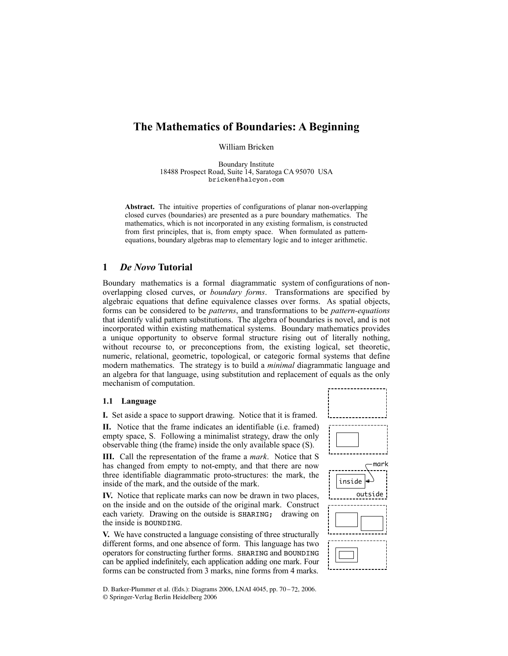# **The Mathematics of Boundaries: A Beginning**

William Bricken

Boundary Institute 18488 Prospect Road, Suite 14, Saratoga CA 95070 USA bricken@halcyon.com

**Abstract.** The intuitive properties of configurations of planar non-overlapping closed curves (boundaries) are presented as a pure boundary mathematics. The mathematics, which is not incorporated in any existing formalism, is constructed from first principles, that is, from empty space. When formulated as patternequations, boundary algebras map to elementary logic and to integer arithmetic.

# **1** *De Novo* **Tutorial**

Boundary mathematics is a formal diagrammatic system of configurations of nonoverlapping closed curves, or *boundary forms*. Transformations are specified by algebraic equations that define equivalence classes over forms. As spatial objects, forms can be considered to be *patterns*, and transformations to be *pattern-equations* that identify valid pattern substitutions. The algebra of boundaries is novel, and is not incorporated within existing mathematical systems. Boundary mathematics provides a unique opportunity to observe formal structure rising out of literally nothing, without recourse to, or preconceptions from, the existing logical, set theoretic, numeric, relational, geometric, topological, or categoric formal systems that define modern mathematics. The strategy is to build a *minimal* diagrammatic language and an algebra for that language, using substitution and replacement of equals as the only mechanism of computation.

# **1.1 Language**

**I.** Set aside a space to support drawing. Notice that it is framed. **II.** Notice that the frame indicates an identifiable (i.e. framed) empty space, S. Following a minimalist strategy, draw the only observable thing (the frame) inside the only available space (S).

**III.** Call the representation of the frame a *mark*. Notice that S has changed from empty to not-empty, and that there are now three identifiable diagrammatic proto-structures: the mark, the inside of the mark, and the outside of the mark.

**IV.** Notice that replicate marks can now be drawn in two places, on the inside and on the outside of the original mark. Construct each variety. Drawing on the outside is SHARING: drawing on the inside is BOUNDING.

**V.** We have constructed a language consisting of three structurally different forms, and one absence of form. This language has two operators for constructing further forms. SHARING and BOUNDING can be applied indefinitely, each application adding one mark. Four forms can be constructed from 3 marks, nine forms from 4 marks.





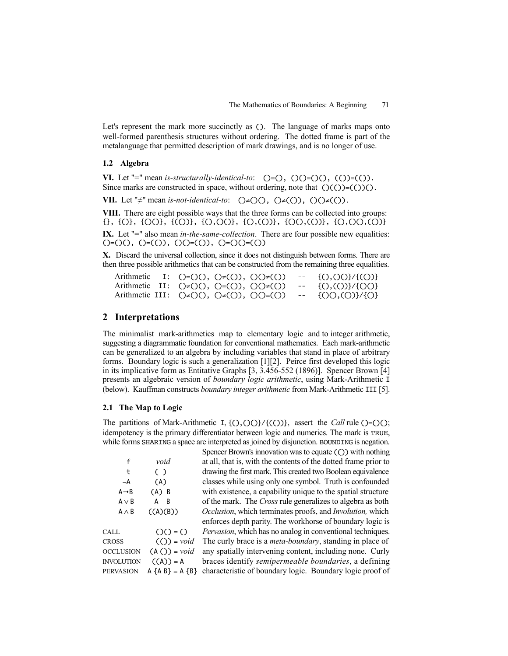Let's represent the mark more succinctly as (). The language of marks maps onto well-formed parenthesis structures without ordering. The dotted frame is part of the metalanguage that permitted description of mark drawings, and is no longer of use.

# **1.2 Algebra**

**VI.** Let "=" mean *is-structurally-identical-to*:  $()=(), ()()=(()), ()()=(()).$ Since marks are constructed in space, without ordering, note that  $()(())=(())$ .

**VII.** Let "≠" mean *is-not-identical-to*: ()≠()(), ()≠(()), ()()≠(()).

**VIII.** There are eight possible ways that the three forms can be collected into groups:  ${\{\},\ {\{O\}},\ {\{O\}},\ {\{CO\}},\ {\{CO\}},\ {\{O,O\}},\ {\{O},O\}},\ {\{O},(O)\},\ {\{O},(O)\},\ {\{O},(O)\}}$ 

**IX.** Let "=" also mean *in-the-same-collection*. There are four possible new equalities:  $()=()(), ()=(())$ ,  $()((-))$ ,  $()=(()(-))$ 

**X.** Discard the universal collection, since it does not distinguish between forms. There are then three possible arithmetics that can be constructed from the remaining three equalities.

| Arithmetic I: ()=()(), () $\neq$ (()), ()() $\neq$ (())         |  |  | $- -$                                     | {0,00}/{(0)}} |
|-----------------------------------------------------------------|--|--|-------------------------------------------|---------------|
| Arithmetic II: $() \neq () ()$ , $() = (())$ , $()() \neq (())$ |  |  | <b>Service Contract Contract Contract</b> | {0,0}}/{00}}  |
| Arithmetic III: $() \neq () ()$ , $() \neq ()$ , $()() = ()$    |  |  | $- -$                                     | {OO,(O)}/{O}  |

## **2 Interpretations**

The minimalist mark-arithmetics map to elementary logic and to integer arithmetic, suggesting a diagrammatic foundation for conventional mathematics. Each mark-arithmetic can be generalized to an algebra by including variables that stand in place of arbitrary forms. Boundary logic is such a generalization [1][2]. Peirce first developed this logic in its implicative form as Entitative Graphs [3, 3.456-552 (1896)]. Spencer Brown [4] presents an algebraic version of *boundary logic arithmetic*, using Mark-Arithmetic I (below). Kauffman constructs *boundary integer arithmetic* from Mark-Arithmetic III [5].

### **2.1 The Map to Logic**

The partitions of Mark-Arithmetic I, {(),()()}/{(())}, assert the *Call* rule ()=()(); idempotency is the primary differentiator between logic and numerics. The mark is TRUE, while forms SHARING a space are interpreted as joined by disjunction. BOUNDING is negation.

|                   |                       | Spencer Brown's innovation was to equate (()) with nothing       |
|-------------------|-----------------------|------------------------------------------------------------------|
| f                 | void                  | at all, that is, with the contents of the dotted frame prior to  |
| t                 | ( )                   | drawing the first mark. This created two Boolean equivalence     |
| -A                | (A)                   | classes while using only one symbol. Truth is confounded         |
| $A \rightarrow B$ | $(A)$ B               | with existence, a capability unique to the spatial structure     |
| $A \vee B$        | A B                   | of the mark. The Cross rule generalizes to algebra as both       |
| $A \wedge B$      | ((A)(B))              | Occlusion, which terminates proofs, and Involution, which        |
|                   |                       | enforces depth parity. The workhorse of boundary logic is        |
| CALL              | $()() = ()$           | Pervasion, which has no analog in conventional techniques.       |
| <b>CROSS</b>      | $(()) = void$         | The curly brace is a <i>meta-boundary</i> , standing in place of |
| <b>OCCLUSION</b>  | $(A \cap) = void$     | any spatially intervening content, including none. Curly         |
| <b>INVOLUTION</b> | $((A)) = A$           | braces identify semipermeable boundaries, a defining             |
| <b>PERVASION</b>  | $A \{A B\} = A \{B\}$ | characteristic of boundary logic. Boundary logic proof of        |
|                   |                       |                                                                  |